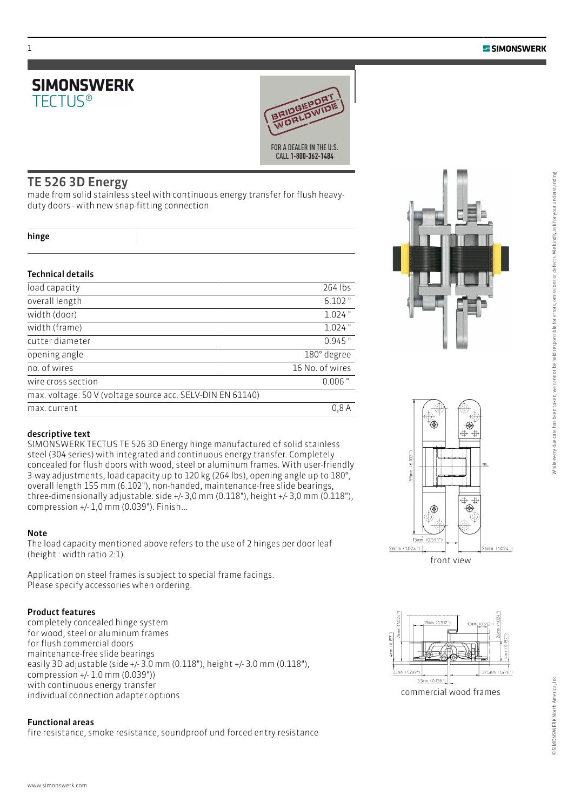



## TE 526 3D Energy

made from solid stainless steel with continuous energy transfer for flush heavyduty doors - with new snap-fitting connection

#### hinge

#### Technical details

| load capacity                                              | 264 lbs         |
|------------------------------------------------------------|-----------------|
| overall length                                             | $6.102$ "       |
| width (door)                                               | $1.024$ "       |
| width (frame)                                              | $1.024$ "       |
| cutter diameter                                            | $0.945$ "       |
| opening angle                                              | 180° degree     |
| no. of wires                                               | 16 No. of wires |
| wire cross section                                         | $0.006$ "       |
| max. voltage: 50 V (voltage source acc. SELV-DIN EN 61140) |                 |
| max. current                                               | 0.8A            |
|                                                            |                 |

#### descriptive text

SIMONSWERK TECTUS TE 526 3D Energy hinge manufactured of solid stainless steel (304 series) with integrated and continuous energy transfer. Completely concealed for flush doors with wood, steel or aluminum frames. With user-friendly 3-way adjustments, load capacity up to 120 kg (264 lbs), opening angle up to 180°, overall length 155 mm (6.102"), non-handed, maintenance-free slide bearings, three-dimensionally adjustable: side +/- 3,0 mm (0.118"), height +/- 3,0 mm (0.118"), compression +/- 1,0 mm (0.039"). Finish...

#### Note

The load capacity mentioned above refers to the use of 2 hinges per door leaf (height : width ratio 2:1).

Application on steel frames is subject to special frame facings. Please specify accessories when ordering.

#### Product features

completely concealed hinge system for wood, steel or aluminum frames for flush commercial doors maintenance-free slide bearings easily 3D adjustable (side +/- 3.0 mm (0.118"), height +/- 3.0 mm (0.118"), compression +/- 1.0 mm (0.039")) with continuous energy transfer individual connection adapter options

#### Functional areas

fire resistance, smoke resistance, soundproof und forced entry resistance









commercial wood frames